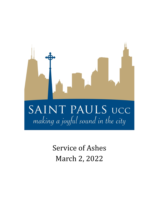

Service of Ashes March 2, 2022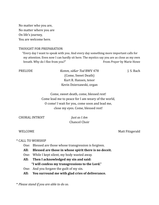No matter who you are, No matter where you are On life's journey, You are welcome here.

### THOUGHT FOR PREPARATION

"Every day I want to speak with you. And every day something more important calls for my attention. Even now I can hardly sit here. The mystics say you are as close as my own breath. Why do I flee from you?" From *Prayer* by Marie Howe

PRELUDE *Komm, sü*ß*er Tod* BWV 478 J. S. Bach (Come, Sweet Death) Kurt R. Hansen, tenor Kevin Dzierzawski, organ

Come, sweet death, come, blessed rest! Come lead me to peace for I am weary of the world, O come! I wait for you, come soon and lead me, close my eyes. Come, blessed rest!

CHORAL INTROIT *Just as I Am*

Chancel Choir

WELCOME WELCOME

### \* CALL TO WORSHIP

- One: Blessed are those whose transgression is forgiven.
- **All: Blessed are those in whose spirit there is no deceit.**
- One: While I kept silent, my body wasted away.

**All: Then I acknowledged my sin and said:**

- **"I will confess my transgressions to the Lord."**
- One: And you forgave the guilt of my sin.

**All: You surround me with glad cries of deliverance.**

\* *Please stand if you are able to do so.*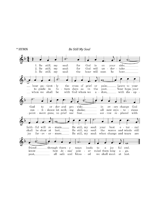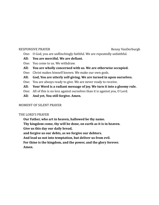#### RESPONSIVE PRAYER **BESPONSIVE PRAYER BENNY VanDerburgh**

- One: O God, you are unflinchingly faithful. We are repeatedly unfaithful.
- **All: You are merciful. We are defiant.**
- One: You come to us. We withdraw.
- **All: You are wholly concerned with us. We are otherwise occupied.**
- One: Christ makes himself known. We make our own gods.
- **All: God, You are utterly self-giving. We are turned in upon ourselves.**
- One: You are always ready to give. We are never ready to receive.
- **All: Your Word is a radiant message of joy. We turn it into a gloomy rule.**
- One: All of this is no less against ourselves than it is against you, O Lord.
- **All: And yet, You still forgive. Amen.**

# MOMENT OF SILENT PRAYER

### THE LORD'S PRAYER

**Our Father, who art in heaven, hallowed be thy name. Thy kingdom come, thy will be done, on earth as it is in heaven. Give us this day our daily bread, and forgive us our debts, as we forgive our debtors. And lead us not into temptation, but deliver us from evil. For thine is the kingdom, and the power, and the glory forever.**

**Amen.**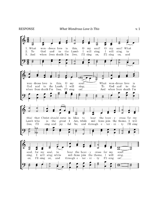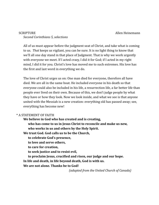# SCRIPTURE Allen Heinemann *Second Corinthians 5, selections*

All of us must appear before the judgment seat of Christ, and take what is coming to us. *That* keeps us vigilant, you can be sure. It is no light thing to know that we'll all one day stand in that place of Judgment. That is why we work urgently with everyone we meet. If I acted crazy, I did it for God; if I acted in my right mind, I did it for you. Christ's love has moved me to such extremes. His love has the first and last word in everything we do.

The love of Christ urges us on: One man died for everyone, therefore all have died. We are all in the same boat. He included everyone in his death so that everyone could also be included in his life, a resurrection life, a far better life than people ever lived on their own. Because of this, we don't judge people by what they have or how they look. Now we look inside, and what we see is that anyone united with the Messiah is a new creation: everything old has passed away; see, everything has become new!

### \* A STATEMENT OF FAITH

# **We believe in God who has created and is creating,**

**who has come to us in Jesus Christ to reconcile and make us new, who works in us and others by the Holy Spirit.**

**We trust God. God calls us to be the Church,**

**to celebrate God's presence,**

**to love and serve others,**

**to care for creation,**

**to seek justice and to resist evil,**

**to proclaim Jesus, crucified and risen, our judge and our hope.**

**In life and death, in life beyond death, God is with us.**

**We are not alone. Thanks be to God!**

*(adapted from the United Church of Canada)*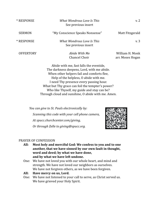| * RESPONSE       | What Wondrous Love Is This<br>See previous insert | v. 2                               |
|------------------|---------------------------------------------------|------------------------------------|
| <b>SERMON</b>    | "My Conscience Speaks Nonsense"                   | Matt Fitzgerald                    |
| * RESPONSE       | What Wondrous Love Is This<br>See previous insert | v. 3                               |
| <b>OFFERTORY</b> | Abide With Me<br><b>Chancel Choir</b>             | William H. Monk<br>arr Moses Hogan |

Abide with me, fast falls the eventide, The darkness deepens, Lord, with me abide. When other helpers fail and comforts flee, Help of the helpless, O abide with me. I need Thy presence every passing hour. What but Thy grace can foil the tempter's power? Who like Thyself, my guide and stay can be? Through cloud and sunshine, O abide with me. Amen.

*You can give to St. Pauls electronically by: Scanning this code with your cell phone camera, At spucc.churchcenter.com/giving, Or through Zelle to giving@spucc.org.*

### PRAYER OF CONFESSION

- **All: Most holy and merciful God: We confess to you and to one another, that we have sinned by our own fault in thought, word and deed; by what we have done, and by what we have left undone.**
- One: We have not loved you with our whole heart, and mind and strength. We have not loved our neighbors as ourselves. We have not forgiven others, as we have been forgiven.

#### **All: Have mercy on us, Lord.**

One: We have not listened to your call to serve, as Christ served us. We have grieved your Holy Spirit.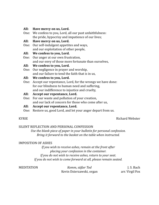#### **All: Have mercy on us, Lord.**

One: We confess to you, Lord, all our past unfaithfulness: the pride, hypocrisy and impatience of our lives;

#### **All: Have mercy on us, Lord.**

One: Our self-indulgent appetites and ways, and our exploitation of other people,

### **All: We confess to you, Lord.**

One: Our anger at our own frustration, and our envy of those more fortunate than ourselves,

### **All: We confess to you, Lord.**

One: Our negligence in prayer and worship, and our failure to tend the faith that is in us,

### **All: We confess to you, Lord.**

One: Accept our repentance, Lord, for the wrongs we have done: for our blindness to human need and suffering, and our indifference to injustice and cruelty,

### **All: Accept our repentance, Lord.**

One: For our waste and pollution of your creation, and our lack of concern for those who come after us,

### **All: Accept our repentance, Lord.**

One: Restore us, good Lord, and let your anger depart from us.

# KYRIE Richard Webster

### SILENT REFLECTION AND PERSONAL CONFESSION

*Use the blank piece of paper in your bulletin for personal confession. Bring it forward to the basket on the table when instructed.*

### IMPOSITION OF ASHES

*If you wish to receive ashes, remain at the front after placing your confession in the container. If you do not wish to receive ashes, return to your seat. If you do not wish to come forward at all, please remain seated.*

MEDITATION *Komm, süßer Tod* J. S. Bach Kevin Dzierzawski, organ arr. Virgil Fox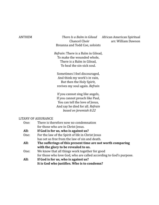ANTHEM *There Is a Balm in Gilead* African American Spiritual Breanna and Todd Coe, soloists

Chancel Choir arr. William Dawson

*Refrain*: There is a Balm in Gilead, To make the wounded whole, There is a Balm in Gilead, To heal the sin-sick soul.

Sometimes I feel discouraged, And think my work's in vain, But then the Holy Spirit, revives my soul again. *Refrain*

If you cannot sing like angels, If you cannot preach like Paul, You can tell the love of Jesus, And say he died for all. *Refrain based on Jeremiah 8:22*

#### LITANY OF ASSURANCE

| One: | There is therefore now no condemnation                             |
|------|--------------------------------------------------------------------|
|      | for those who are in Christ Jesus.                                 |
| All: | If God is for us, who is against us?                               |
| One: | For the law of the Spirit of life in Christ Jesus                  |
|      | has set us free from the law of sin and death.                     |
| All: | The sufferings of this present time are not worth comparing        |
|      | with the glory to be revealed to us.                               |
| One: | We know that all things work together for good                     |
|      | for those who love God, who are called according to God's purpose. |
| All: | If God is for us, who is against us?                               |
|      | It is God who justifies. Who is to condemn?                        |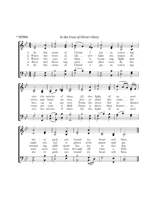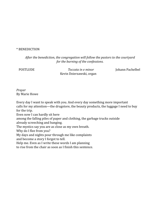### \* BENEDICTION

*After the benediction, the congregation will follow the pastors to the courtyard for the burning of the confessions.*

POSTLUDE *Toccata in e minor* Johann Pachelbel Kevin Dzierzawski, organ

# *Prayer* By Marie Howe

Every day I want to speak with you. And every day something more important calls for my attention—the drugstore, the beauty products, the luggage I need to buy for the trip. Even now I can hardly sit here among the falling piles of paper and clothing, the garbage trucks outside already screeching and banging. The mystics say you are as close as my own breath. Why do I flee from you? My days and nights pour through me like complaints and become a story I forgot to tell. Help me. Even as I write these words I am planning to rise from the chair as soon as I finish this sentence.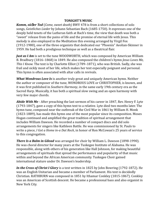### **TONIGHT'S MUSIC**

*Komm, süẞer Tod* (*Come, sweet death)* BWV 478 is from a short collections of solo songs, *Geistliches Lieder* by Johann Sebastian Bach (1685-1750). It expresses one of the deeply held tenets of the Lutheran faith at Bach's time, the view that death was both a "sweet" release from the pains of life and the promise of eternal life with Jesus. This melody is also employed in the Meditation this evening arranged by Virgil Fox (1912-1980), one of the three organists that dedicated our "Phoenix" Aeolian-Skinner in 1959. He had both a prodigious technique as well as a theatrical flair.

*Just as I Am* is set to the tune WOODWORTH, which was composed by American William B. Bradbury (1816–1868) in 1849. He also composed the children's hymn *Jesus Loves Me, This I Know.* The text is by Charlotte Elliot (1789–1871), who was British. Sadly, she was frail and sickly most of her life, which makes her text especially poignant and personal. This hymn is often associated with altar calls in revivals.

*What Wondrous Love Is* is another truly great and uniquely American hymn. Neither the author or composer of the tune, WONDROUS LOVE or CHRISTOPHER, is known, and it was first published in *Southern Harmony*, in the same early 19th century era as the Sacred Harp. Musically, it has both a spiritual slow swing and an open harmony with very few major chords.

*Abide With Me* - After preaching the last sermon of his career in 1847, Rev. Henry F. Lyte (1793-1847), gave a copy of this hymn text to a relative. Lyte died two months later. The hymn tune, composed near the outbreak of the Civil War in 1861 by William H. Monk (1823-1889), has made this hymn one of the most popular since its composition. Moses Hogan continued and amplified the great tradition of spiritual arrangement that includes William Dawson. He recorded a number of compact discs and did solo arrangements for singers like Kathleen Battle. He was commissioned by St. Pauls to write a piece, *I Got a Home in-a Dat Rock*, in honor of Ron McCowan's 25 years of service to this congregation.

*There Is a Balm in Gilead* was arranged for choir by William L. Dawson (1898-1990). He was choral director for many years at the Tuskegee Institute of Alabama. He was responsible, along with others of his generation like Hall Johnson, for making beautiful arrangements of spirituals that spread the performance and popularity of that music within and beyond the African American community. Tuskegee Choir gained international stature under Dr. Dawson's leadership.

*In the Cross of Christ I Glory* is a text written in 1825 by John Bowring (1792-1872). He was an English Unitarian and became a member of Parliament. His text is decidedly Christian. RATHBURN was composed in 1851 by Ithamar Conkley (1815-1867). Conkley was an American of Scottish descent. He became a professional bass and also organist in New York City.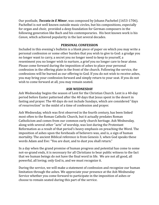Our postlude, *Toccata in E Minor*, was composed by Johann Pachebel (1653-1706). Pachelbel is not well known outside music circles, but his compositions, especially for organ and choir, provided a deep foundation for German composers in the following generation like Bach and his contemporaries. His best known work is his *Canon*, which achieved popularity in the last several decades.

### **PERSONAL CONFESSION**

Included in this evening's bulletin is a blank piece of paper on which you may write a personal confession or some other burden that you wish to give to God: a grudge you no longer want to carry, a secret you no longer need to keep to yourself, a resentment you no longer wish to nurture, a grief you no longer care to bear alone. Please come forward during the imposition of ashes to place your personal confession in the offering plate in the front of the church. Following the service, the confessions will be burned as our offering to God. If you do not wish to receive ashes, you may bring your confession forward and simply return to your seat. If you do not wish to come forward at all, you may remain seated.

### **ASH WEDNESDAY**

Ash Wednesday begins the season of Lent for the Christian Church. Lent is a 40-day period before Easter patterned after the 40 days that Jesus spent in the desert in fasting and prayer. The 40 days do not include Sundays, which are considered "days of resurrection" in the midst of a time of confession and prayer.

Ash Wednesday, which was first observed in the fourth century, has been linked most often to the Roman Catholic Church, but it actually predates Roman Catholicism and comes from our common early church heritage. Ash Wednesday, along with several other "acts" of worship, was lost during the Protestant Reformation as a result of that period's heavy emphasis on preaching the Word. The imposition of ashes upon the foreheads of believers was, and is, a sign of human mortality. The ancient Biblical reference is from Genesis 3, when God speaks these words Adam and Eve: "You are dust, and to dust you shall return."

In a day when the grand promise of human progress and potential has come to some not-so-grand ends, it is necessary for all Christians to bear public witness to the fact that we human beings do not have the final word in life. We are not all good, all powerful, all loving; only God is, and we must recognize it.

During the service, we will make a statement of confession and recognize our human limitation through the ashes. We appreciate your presence at the Ash Wednesday Service whether you come forward to participate in the imposition of ashes or choose to remain seated during this part of the service.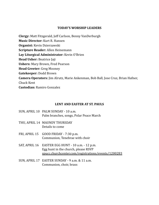### **TODAY'S WORSHIP LEADERS**

**Clergy:** Matt Fitzgerald, Jeff Carlson, Benny VanDerburgh **Music Director:** Kurt R. Hansen **Organist:** Kevin Dzierzawski **Scripture Reader:** Allen Heinemann **Lay Liturgical Administrator:** Kevin O'Brien **Head Usher:** Beatrice Jaji **Ushers:** Mary Brown, Fred Pearson **Head Greeter:** Greg Mooney **Gatekeeper:** Dodd Brown **Camera Operators:** Jim Alrutz, Marie Ankenman, Bob Ball, Jose Cruz, Brian Hafner, Chuck Kent **Custodian:** Ramiro Gonzalez

### **LENT AND EASTER AT ST. PAULS**

- SUN, APRIL 10 PALM SUNDAY 10 a.m. Palm branches, songs, Polar Peace March
- THU, APRIL 14 MAUNDY THURSDAY Details to come
- FRI, APRIL 15 GOOD FRIDAY 7:30 p.m. Communion, Tenebrae with choir
- SAT, APRIL 16 EASTER EGG HUNT 10 a.m. 12 p.m. Egg hunt in the church, please RSVP [spucc.churchcenter.com/registrations/events/1200283](https://spucc.churchcenter.com/registrations/events/1200283)
- SUN, APRIL 17 EASTER SUNDAY 9 a.m. & 11 a.m. Communion, choir, brass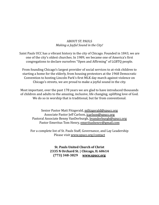# ABOUT ST. PAULS *Making a Joyful Sound in the City!*

Saint Pauls UCC has a vibrant history in the city of Chicago. Founded in 1843, we are one of the city's oldest churches. In 1989, we became one of America's first congregations to declare ourselves "Open and Affirming" of LGBTQ people.

From founding Chicago's largest provider of social services to at-risk children to starting a home for the elderly, from housing protestors at the 1968 Democratic Convention to hosting Lincoln Park's first MLK day march against violence on Chicago's streets, we are proud to make a joyful sound in the city.

Most important, over the past 178 years we are glad to have introduced thousands of children and adults to the amazing, inclusive, life changing, uplifting love of God. We do so in worship that is traditional, but far from conventional.

Senior Pastor Matt Fitzgerald, [mfitzgerald@spucc.org](mailto:mfitzgerald@spucc.org) Associate Pastor Jeff Carlson, [jcarlson@spucc.org](mailto:jcarlson@spucc.org) Pastoral Associate Benny VanDerburgh, [bvanderburgh@spucc.org](mailto:bvanderburgh@spucc.org) Pastor Emeritus Tom Henry, [emeritushenry@gmail.com](mailto:emeritushenry@gmail.com)

For a complete list of St. Pauls Staff, Governance, and Lay Leadership Please visit [www.spucc.org/contact](http://www.spucc.org/contact)

> **St. Pauls United Church of Christ 2335 N Orchard St. | Chicago, IL 60614 (773) 348-3829 [www.spucc.org](http://www.spucc.org/)**